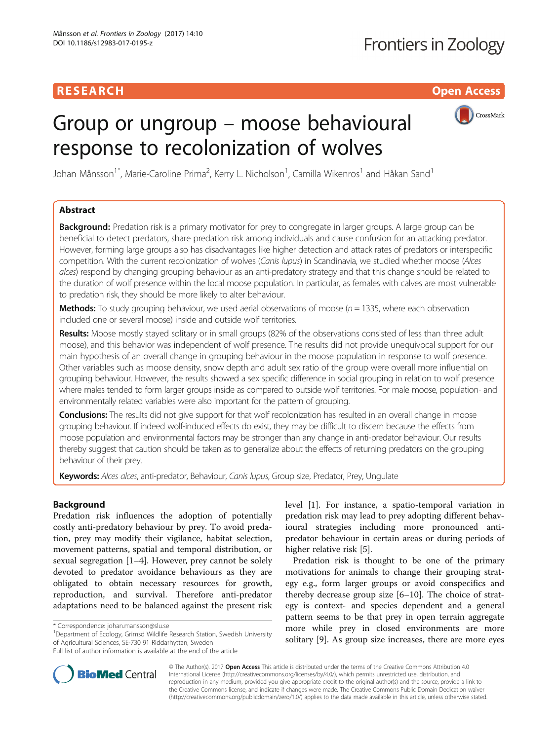## RESEARCH **RESEARCH CHOOSE ACCESS**

# Group or ungroup – moose behavioural response to recolonization of wolves



Johan Månsson $^{\dagger^*}$ , Marie-Caroline Prima $^2$ , Kerry L. Nicholson $^{\dagger}$ , Camilla Wikenros $^{\dagger}$  and Håkan Sand $^{\dagger}$ 

## Abstract

**Background:** Predation risk is a primary motivator for prey to congregate in larger groups. A large group can be beneficial to detect predators, share predation risk among individuals and cause confusion for an attacking predator. However, forming large groups also has disadvantages like higher detection and attack rates of predators or interspecific competition. With the current recolonization of wolves (Canis lupus) in Scandinavia, we studied whether moose (Alces alces) respond by changing grouping behaviour as an anti-predatory strategy and that this change should be related to the duration of wolf presence within the local moose population. In particular, as females with calves are most vulnerable to predation risk, they should be more likely to alter behaviour.

**Methods:** To study grouping behaviour, we used aerial observations of moose ( $n = 1335$ , where each observation included one or several moose) inside and outside wolf territories.

Results: Moose mostly stayed solitary or in small groups (82% of the observations consisted of less than three adult moose), and this behavior was independent of wolf presence. The results did not provide unequivocal support for our main hypothesis of an overall change in grouping behaviour in the moose population in response to wolf presence. Other variables such as moose density, snow depth and adult sex ratio of the group were overall more influential on grouping behaviour. However, the results showed a sex specific difference in social grouping in relation to wolf presence where males tended to form larger groups inside as compared to outside wolf territories. For male moose, population- and environmentally related variables were also important for the pattern of grouping.

Conclusions: The results did not give support for that wolf recolonization has resulted in an overall change in moose grouping behaviour. If indeed wolf-induced effects do exist, they may be difficult to discern because the effects from moose population and environmental factors may be stronger than any change in anti-predator behaviour. Our results thereby suggest that caution should be taken as to generalize about the effects of returning predators on the grouping behaviour of their prey.

Keywords: Alces alces, anti-predator, Behaviour, Canis lupus, Group size, Predator, Prey, Ungulate

## Background

Predation risk influences the adoption of potentially costly anti-predatory behaviour by prey. To avoid predation, prey may modify their vigilance, habitat selection, movement patterns, spatial and temporal distribution, or sexual segregation [[1](#page-8-0)–[4\]](#page-8-0). However, prey cannot be solely devoted to predator avoidance behaviours as they are obligated to obtain necessary resources for growth, reproduction, and survival. Therefore anti-predator adaptations need to be balanced against the present risk

Department of Ecology, Grimsö Wildlife Research Station, Swedish University of Agricultural Sciences, SE-730 91 Riddarhyttan, Sweden

level [\[1\]](#page-8-0). For instance, a spatio-temporal variation in predation risk may lead to prey adopting different behavioural strategies including more pronounced antipredator behaviour in certain areas or during periods of higher relative risk [\[5](#page-8-0)].

Predation risk is thought to be one of the primary motivations for animals to change their grouping strategy e.g., form larger groups or avoid conspecifics and thereby decrease group size [\[6](#page-8-0)–[10](#page-8-0)]. The choice of strategy is context- and species dependent and a general pattern seems to be that prey in open terrain aggregate more while prey in closed environments are more solitary [[9\]](#page-8-0). As group size increases, there are more eyes



© The Author(s). 2017 **Open Access** This article is distributed under the terms of the Creative Commons Attribution 4.0 International License [\(http://creativecommons.org/licenses/by/4.0/](http://creativecommons.org/licenses/by/4.0/)), which permits unrestricted use, distribution, and reproduction in any medium, provided you give appropriate credit to the original author(s) and the source, provide a link to the Creative Commons license, and indicate if changes were made. The Creative Commons Public Domain Dedication waiver [\(http://creativecommons.org/publicdomain/zero/1.0/](http://creativecommons.org/publicdomain/zero/1.0/)) applies to the data made available in this article, unless otherwise stated.

<sup>\*</sup> Correspondence: [johan.mansson@slu.se](mailto:johan.mansson@slu.se) <sup>1</sup>

Full list of author information is available at the end of the article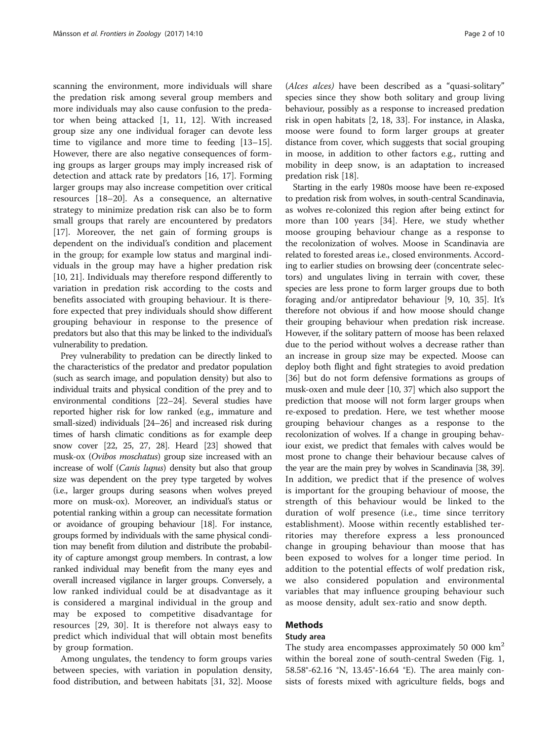scanning the environment, more individuals will share the predation risk among several group members and more individuals may also cause confusion to the predator when being attacked [[1](#page-8-0), [11](#page-8-0), [12](#page-8-0)]. With increased group size any one individual forager can devote less time to vigilance and more time to feeding [[13](#page-8-0)–[15](#page-8-0)]. However, there are also negative consequences of forming groups as larger groups may imply increased risk of detection and attack rate by predators [[16, 17\]](#page-8-0). Forming larger groups may also increase competition over critical resources [[18](#page-8-0)–[20\]](#page-8-0). As a consequence, an alternative strategy to minimize predation risk can also be to form small groups that rarely are encountered by predators [[17\]](#page-8-0). Moreover, the net gain of forming groups is dependent on the individual's condition and placement in the group; for example low status and marginal individuals in the group may have a higher predation risk [[10, 21\]](#page-8-0). Individuals may therefore respond differently to variation in predation risk according to the costs and benefits associated with grouping behaviour. It is therefore expected that prey individuals should show different grouping behaviour in response to the presence of predators but also that this may be linked to the individual's vulnerability to predation.

Prey vulnerability to predation can be directly linked to the characteristics of the predator and predator population (such as search image, and population density) but also to individual traits and physical condition of the prey and to environmental conditions [[22](#page-8-0)–[24](#page-8-0)]. Several studies have reported higher risk for low ranked (e.g., immature and small-sized) individuals [[24](#page-8-0)–[26](#page-8-0)] and increased risk during times of harsh climatic conditions as for example deep snow cover [[22](#page-8-0), [25, 27](#page-8-0), [28\]](#page-8-0). Heard [[23](#page-8-0)] showed that musk-ox (Ovibos moschatus) group size increased with an increase of wolf (Canis lupus) density but also that group size was dependent on the prey type targeted by wolves (i.e., larger groups during seasons when wolves preyed more on musk-ox). Moreover, an individual's status or potential ranking within a group can necessitate formation or avoidance of grouping behaviour [\[18](#page-8-0)]. For instance, groups formed by individuals with the same physical condition may benefit from dilution and distribute the probability of capture amongst group members. In contrast, a low ranked individual may benefit from the many eyes and overall increased vigilance in larger groups. Conversely, a low ranked individual could be at disadvantage as it is considered a marginal individual in the group and may be exposed to competitive disadvantage for resources [\[29](#page-8-0), [30\]](#page-8-0). It is therefore not always easy to predict which individual that will obtain most benefits by group formation.

Among ungulates, the tendency to form groups varies between species, with variation in population density, food distribution, and between habitats [\[31, 32\]](#page-8-0). Moose

(Alces alces) have been described as a "quasi-solitary" species since they show both solitary and group living behaviour, possibly as a response to increased predation risk in open habitats [[2, 18](#page-8-0), [33](#page-8-0)]. For instance, in Alaska, moose were found to form larger groups at greater distance from cover, which suggests that social grouping in moose, in addition to other factors e.g., rutting and mobility in deep snow, is an adaptation to increased predation risk [[18\]](#page-8-0).

Starting in the early 1980s moose have been re-exposed to predation risk from wolves, in south-central Scandinavia, as wolves re-colonized this region after being extinct for more than 100 years [[34\]](#page-8-0). Here, we study whether moose grouping behaviour change as a response to the recolonization of wolves. Moose in Scandinavia are related to forested areas i.e., closed environments. According to earlier studies on browsing deer (concentrate selectors) and ungulates living in terrain with cover, these species are less prone to form larger groups due to both foraging and/or antipredator behaviour [[9, 10, 35\]](#page-8-0). It's therefore not obvious if and how moose should change their grouping behaviour when predation risk increase. However, if the solitary pattern of moose has been relaxed due to the period without wolves a decrease rather than an increase in group size may be expected. Moose can deploy both flight and fight strategies to avoid predation [[36](#page-8-0)] but do not form defensive formations as groups of musk-oxen and mule deer [\[10, 37\]](#page-8-0) which also support the prediction that moose will not form larger groups when re-exposed to predation. Here, we test whether moose grouping behaviour changes as a response to the recolonization of wolves. If a change in grouping behaviour exist, we predict that females with calves would be most prone to change their behaviour because calves of the year are the main prey by wolves in Scandinavia [\[38, 39\]](#page-8-0). In addition, we predict that if the presence of wolves is important for the grouping behaviour of moose, the strength of this behaviour would be linked to the duration of wolf presence (i.e., time since territory establishment). Moose within recently established territories may therefore express a less pronounced change in grouping behaviour than moose that has been exposed to wolves for a longer time period. In addition to the potential effects of wolf predation risk, we also considered population and environmental variables that may influence grouping behaviour such as moose density, adult sex-ratio and snow depth.

## Methods

## Study area

The study area encompasses approximately 50 000  $\text{km}^2$ within the boreal zone of south-central Sweden (Fig. [1](#page-2-0), 58.58°-62.16 °N, 13.45°-16.64 °E). The area mainly consists of forests mixed with agriculture fields, bogs and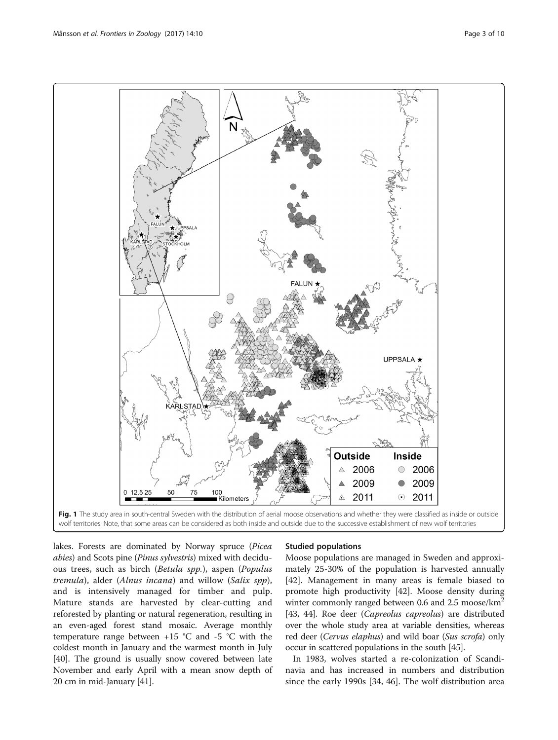<span id="page-2-0"></span>

lakes. Forests are dominated by Norway spruce (Picea abies) and Scots pine (Pinus sylvestris) mixed with deciduous trees, such as birch (Betula spp.), aspen (Populus tremula), alder (Alnus incana) and willow (Salix spp), and is intensively managed for timber and pulp. Mature stands are harvested by clear-cutting and reforested by planting or natural regeneration, resulting in an even-aged forest stand mosaic. Average monthly temperature range between +15 °C and -5 °C with the coldest month in January and the warmest month in July [[40](#page-8-0)]. The ground is usually snow covered between late November and early April with a mean snow depth of 20 cm in mid-January [\[41](#page-8-0)].

## Studied populations

Moose populations are managed in Sweden and approximately 25-30% of the population is harvested annually [[42\]](#page-8-0). Management in many areas is female biased to promote high productivity [\[42\]](#page-8-0). Moose density during winter commonly ranged between 0.6 and 2.5 moose/ $km^2$ [[43](#page-8-0), [44\]](#page-8-0). Roe deer (Capreolus capreolus) are distributed over the whole study area at variable densities, whereas red deer (Cervus elaphus) and wild boar (Sus scrofa) only occur in scattered populations in the south [[45\]](#page-9-0).

In 1983, wolves started a re-colonization of Scandinavia and has increased in numbers and distribution since the early 1990s [\[34,](#page-8-0) [46](#page-9-0)]. The wolf distribution area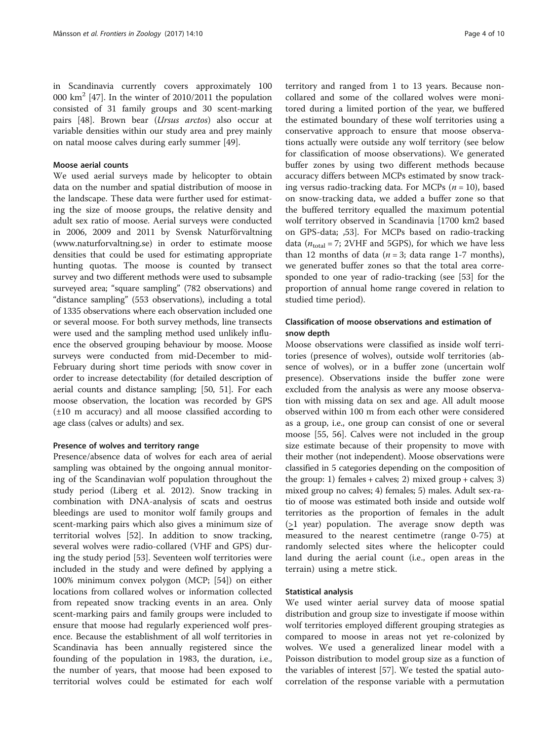in Scandinavia currently covers approximately 100 000 km<sup>2</sup> [[47\]](#page-9-0). In the winter of 2010/2011 the population consisted of 31 family groups and 30 scent-marking pairs [[48\]](#page-9-0). Brown bear (Ursus arctos) also occur at variable densities within our study area and prey mainly on natal moose calves during early summer [[49](#page-9-0)].

## Moose aerial counts

We used aerial surveys made by helicopter to obtain data on the number and spatial distribution of moose in the landscape. These data were further used for estimating the size of moose groups, the relative density and adult sex ratio of moose. Aerial surveys were conducted in 2006, 2009 and 2011 by Svensk Naturförvaltning ([www.naturforvaltning.se\)](http://www.naturforvaltning.se/) in order to estimate moose densities that could be used for estimating appropriate hunting quotas. The moose is counted by transect survey and two different methods were used to subsample surveyed area; "square sampling" (782 observations) and "distance sampling" (553 observations), including a total of 1335 observations where each observation included one or several moose. For both survey methods, line transects were used and the sampling method used unlikely influence the observed grouping behaviour by moose. Moose surveys were conducted from mid-December to mid-February during short time periods with snow cover in order to increase detectability (for detailed description of aerial counts and distance sampling; [[50](#page-9-0), [51\]](#page-9-0). For each moose observation, the location was recorded by GPS (±10 m accuracy) and all moose classified according to age class (calves or adults) and sex.

## Presence of wolves and territory range

Presence/absence data of wolves for each area of aerial sampling was obtained by the ongoing annual monitoring of the Scandinavian wolf population throughout the study period (Liberg et al. 2012). Snow tracking in combination with DNA-analysis of scats and oestrus bleedings are used to monitor wolf family groups and scent-marking pairs which also gives a minimum size of territorial wolves [\[52\]](#page-9-0). In addition to snow tracking, several wolves were radio-collared (VHF and GPS) during the study period [\[53](#page-9-0)]. Seventeen wolf territories were included in the study and were defined by applying a 100% minimum convex polygon (MCP; [[54](#page-9-0)]) on either locations from collared wolves or information collected from repeated snow tracking events in an area. Only scent-marking pairs and family groups were included to ensure that moose had regularly experienced wolf presence. Because the establishment of all wolf territories in Scandinavia has been annually registered since the founding of the population in 1983, the duration, i.e., the number of years, that moose had been exposed to territorial wolves could be estimated for each wolf territory and ranged from 1 to 13 years. Because noncollared and some of the collared wolves were monitored during a limited portion of the year, we buffered the estimated boundary of these wolf territories using a conservative approach to ensure that moose observations actually were outside any wolf territory (see below for classification of moose observations). We generated buffer zones by using two different methods because accuracy differs between MCPs estimated by snow tracking versus radio-tracking data. For MCPs  $(n = 10)$ , based on snow-tracking data, we added a buffer zone so that the buffered territory equalled the maximum potential wolf territory observed in Scandinavia [1700 km2 based on GPS-data; ,53]. For MCPs based on radio-tracking data ( $n_{\text{total}}$  = 7; 2VHF and 5GPS), for which we have less than 12 months of data  $(n = 3;$  data range 1-7 months), we generated buffer zones so that the total area corresponded to one year of radio-tracking (see [[53\]](#page-9-0) for the proportion of annual home range covered in relation to studied time period).

## Classification of moose observations and estimation of snow depth

Moose observations were classified as inside wolf territories (presence of wolves), outside wolf territories (absence of wolves), or in a buffer zone (uncertain wolf presence). Observations inside the buffer zone were excluded from the analysis as were any moose observation with missing data on sex and age. All adult moose observed within 100 m from each other were considered as a group, i.e., one group can consist of one or several moose [[55](#page-9-0), [56\]](#page-9-0). Calves were not included in the group size estimate because of their propensity to move with their mother (not independent). Moose observations were classified in 5 categories depending on the composition of the group: 1) females  $+$  calves; 2) mixed group  $+$  calves; 3) mixed group no calves; 4) females; 5) males. Adult sex-ratio of moose was estimated both inside and outside wolf territories as the proportion of females in the adult (>1 year) population. The average snow depth was measured to the nearest centimetre (range 0-75) at randomly selected sites where the helicopter could land during the aerial count (i.e., open areas in the terrain) using a metre stick.

#### Statistical analysis

We used winter aerial survey data of moose spatial distribution and group size to investigate if moose within wolf territories employed different grouping strategies as compared to moose in areas not yet re-colonized by wolves. We used a generalized linear model with a Poisson distribution to model group size as a function of the variables of interest [[57\]](#page-9-0). We tested the spatial autocorrelation of the response variable with a permutation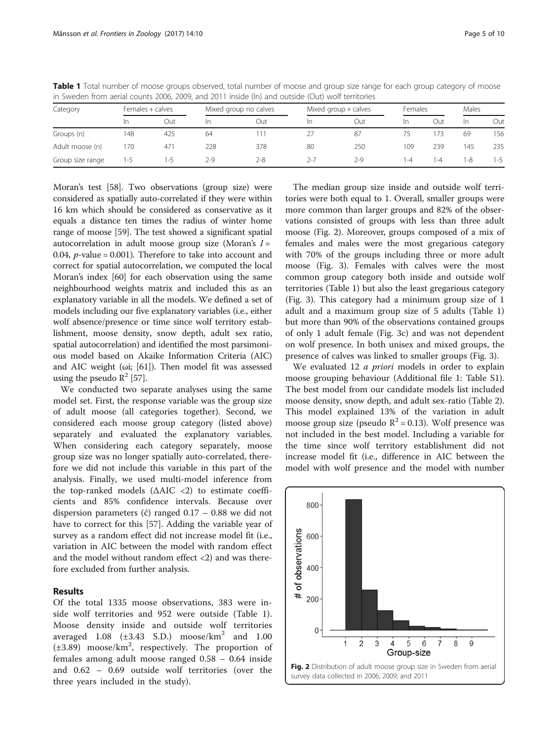| Category         | Females + calves |     |       | Mixed group no calves |         | Mixed group + calves |     | Females |     | Males |  |
|------------------|------------------|-----|-------|-----------------------|---------|----------------------|-----|---------|-----|-------|--|
|                  | In               | Out | In    | Out                   | In      | Out                  | In  | Out     | In  | Out   |  |
| Groups (n)       | 148              | 425 | 64    | 11'                   | 27      | 87                   | 75  | 173     | 69  | 156   |  |
| Adult moose (n)  | 170              | 471 | 228   | 378                   | 80      | 250                  | 109 | 239     | 145 | 235   |  |
| Group size range | 1-5              | 1-5 | $2-9$ | $2 - 8$               | $2 - 7$ | $7 - 9$              | 1−4 | $ -4$   | 1-8 | 1-5   |  |

Table 1 Total number of moose groups observed, total number of moose and group size range for each group category of moose in Sweden from aerial counts 2006, 2009, and 2011 inside (In) and outside (Out) wolf territories

Moran's test [[58](#page-9-0)]. Two observations (group size) were considered as spatially auto-correlated if they were within 16 km which should be considered as conservative as it equals a distance ten times the radius of winter home range of moose [\[59](#page-9-0)]. The test showed a significant spatial autocorrelation in adult moose group size (Moran's  $I =$ 0.04,  $p$ -value = 0.001). Therefore to take into account and correct for spatial autocorrelation, we computed the local Moran's index [\[60\]](#page-9-0) for each observation using the same neighbourhood weights matrix and included this as an explanatory variable in all the models. We defined a set of models including our five explanatory variables (i.e., either wolf absence/presence or time since wolf territory establishment, moose density, snow depth, adult sex ratio, spatial autocorrelation) and identified the most parsimonious model based on Akaike Information Criteria (AIC) and AIC weight ( $\omega$ i; [[61](#page-9-0)]). Then model fit was assessed using the pseudo  $\mathbb{R}^2$  [\[57\]](#page-9-0).

We conducted two separate analyses using the same model set. First, the response variable was the group size of adult moose (all categories together). Second, we considered each moose group category (listed above) separately and evaluated the explanatory variables. When considering each category separately, moose group size was no longer spatially auto-correlated, therefore we did not include this variable in this part of the analysis. Finally, we used multi-model inference from the top-ranked models  $(ΔAIC < 2)$  to estimate coefficients and 85% confidence intervals. Because over dispersion parameters (ĉ) ranged 0.17 – 0.88 we did not have to correct for this [[57\]](#page-9-0). Adding the variable year of survey as a random effect did not increase model fit (i.e., variation in AIC between the model with random effect and the model without random effect  $<$ 2) and was therefore excluded from further analysis.

## Results

Of the total 1335 moose observations, 383 were inside wolf territories and 952 were outside (Table 1). Moose density inside and outside wolf territories averaged  $1.08$  ( $\pm 3.43$  S.D.) moose/ $km^2$  and  $1.00$  $(\pm 3.89)$  moose/km<sup>2</sup>, respectively. The proportion of females among adult moose ranged 0.58 – 0.64 inside and 0.62 – 0.69 outside wolf territories (over the three years included in the study).

The median group size inside and outside wolf territories were both equal to 1. Overall, smaller groups were more common than larger groups and 82% of the observations consisted of groups with less than three adult moose (Fig. 2). Moreover, groups composed of a mix of females and males were the most gregarious category with 70% of the groups including three or more adult moose (Fig. [3\)](#page-5-0). Females with calves were the most common group category both inside and outside wolf territories (Table 1) but also the least gregarious category (Fig. [3\)](#page-5-0). This category had a minimum group size of 1 adult and a maximum group size of 5 adults (Table 1) but more than 90% of the observations contained groups of only 1 adult female (Fig. [3c](#page-5-0)) and was not dependent on wolf presence. In both unisex and mixed groups, the presence of calves was linked to smaller groups (Fig. [3](#page-5-0)).

We evaluated 12 *a priori* models in order to explain moose grouping behaviour (Additional file [1](#page-7-0): Table S1). The best model from our candidate models list included moose density, snow depth, and adult sex-ratio (Table [2](#page-5-0)). This model explained 13% of the variation in adult moose group size (pseudo  $R^2 = 0.13$ ). Wolf presence was not included in the best model. Including a variable for the time since wolf territory establishment did not increase model fit (i.e., difference in AIC between the model with wolf presence and the model with number

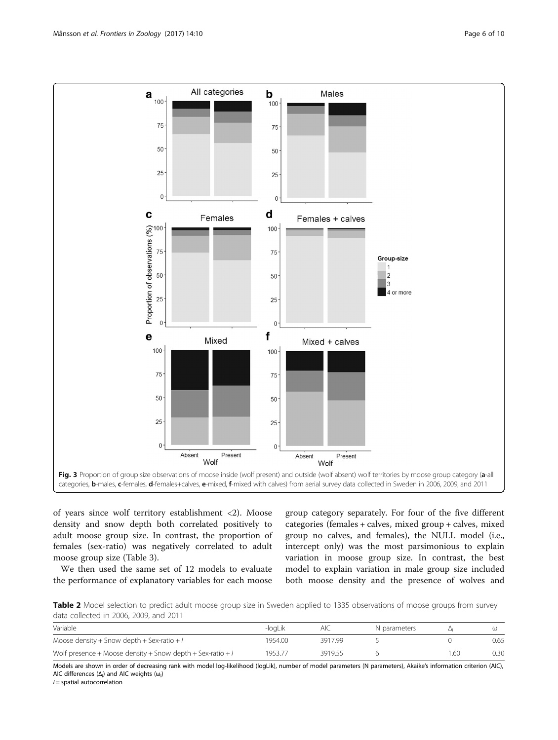<span id="page-5-0"></span>

of years since wolf territory establishment <2). Moose density and snow depth both correlated positively to adult moose group size. In contrast, the proportion of females (sex-ratio) was negatively correlated to adult moose group size (Table [3](#page-6-0)).

We then used the same set of 12 models to evaluate the performance of explanatory variables for each moose

group category separately. For four of the five different categories (females + calves, mixed group + calves, mixed group no calves, and females), the NULL model (i.e., intercept only) was the most parsimonious to explain variation in moose group size. In contrast, the best model to explain variation in male group size included both moose density and the presence of wolves and

Table 2 Model selection to predict adult moose group size in Sweden applied to 1335 observations of moose groups from survey data collected in 2006, 2009, and 2011

| Variable                                                   | -loaLik | - AIC   | N parameters |      | W.   |
|------------------------------------------------------------|---------|---------|--------------|------|------|
| Moose density + Snow depth + Sex-ratio + $\ell$            | 1954.00 | 391799  |              |      | 0.65 |
| Wolf presence + Moose density + Snow depth + Sex-ratio + I | 1953.77 | 3919.55 |              | . 60 | 0.30 |

Models are shown in order of decreasing rank with model log-likelihood (logLik), number of model parameters (N parameters), Akaike's information criterion (AIC), AIC differences  $(\Delta_i)$  and AIC weights  $(\omega_i)$ 

 $I =$  spatial autocorrelation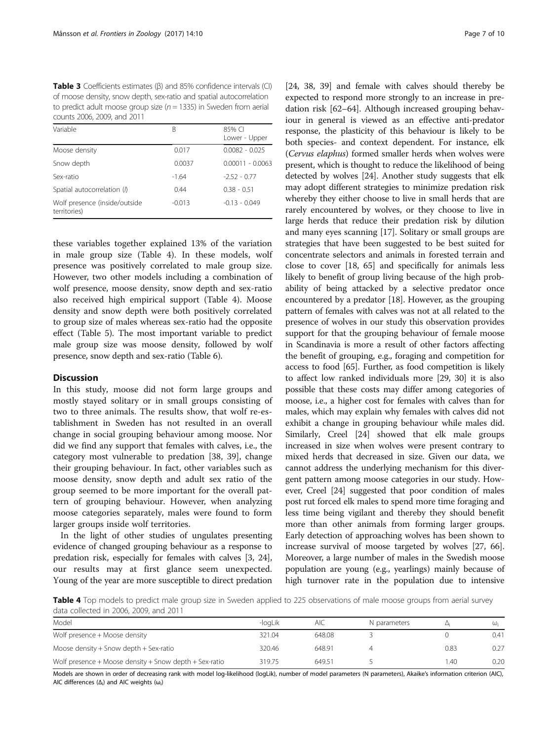<span id="page-6-0"></span>Table 3 Coefficients estimates (β) and 85% confidence intervals (CI) of moose density, snow depth, sex-ratio and spatial autocorrelation to predict adult moose group size ( $n = 1335$ ) in Sweden from aerial counts 2006, 2009, and 2011

| Variable                                      | B        | 85% CI<br>Lower - Upper |
|-----------------------------------------------|----------|-------------------------|
| Moose density                                 | 0.017    | $0.0082 - 0.025$        |
| Snow depth                                    | 0.0037   | $0.00011 - 0.0063$      |
| Sex-ratio                                     | $-1.64$  | $-2.52 - 0.77$          |
| Spatial autocorrelation (/)                   | 0.44     | $0.38 - 0.51$           |
| Wolf presence (inside/outside<br>territories) | $-0.013$ | $-0.13 - 0.049$         |

these variables together explained 13% of the variation in male group size (Table 4). In these models, wolf presence was positively correlated to male group size. However, two other models including a combination of wolf presence, moose density, snow depth and sex-ratio also received high empirical support (Table 4). Moose density and snow depth were both positively correlated to group size of males whereas sex-ratio had the opposite effect (Table [5\)](#page-7-0). The most important variable to predict male group size was moose density, followed by wolf presence, snow depth and sex-ratio (Table [6](#page-7-0)).

## **Discussion**

In this study, moose did not form large groups and mostly stayed solitary or in small groups consisting of two to three animals. The results show, that wolf re-establishment in Sweden has not resulted in an overall change in social grouping behaviour among moose. Nor did we find any support that females with calves, i.e., the category most vulnerable to predation [\[38, 39](#page-8-0)], change their grouping behaviour. In fact, other variables such as moose density, snow depth and adult sex ratio of the group seemed to be more important for the overall pattern of grouping behaviour. However, when analyzing moose categories separately, males were found to form larger groups inside wolf territories.

In the light of other studies of ungulates presenting evidence of changed grouping behaviour as a response to predation risk, especially for females with calves [[3](#page-8-0), [24](#page-8-0)], our results may at first glance seem unexpected. Young of the year are more susceptible to direct predation

[[24](#page-8-0), [38](#page-8-0), [39](#page-8-0)] and female with calves should thereby be expected to respond more strongly to an increase in predation risk [\[62](#page-9-0)–[64](#page-9-0)]. Although increased grouping behaviour in general is viewed as an effective anti-predator response, the plasticity of this behaviour is likely to be both species- and context dependent. For instance, elk (Cervus elaphus) formed smaller herds when wolves were present, which is thought to reduce the likelihood of being detected by wolves [\[24\]](#page-8-0). Another study suggests that elk may adopt different strategies to minimize predation risk whereby they either choose to live in small herds that are rarely encountered by wolves, or they choose to live in large herds that reduce their predation risk by dilution and many eyes scanning [\[17\]](#page-8-0). Solitary or small groups are strategies that have been suggested to be best suited for concentrate selectors and animals in forested terrain and close to cover [[18](#page-8-0), [65\]](#page-9-0) and specifically for animals less likely to benefit of group living because of the high probability of being attacked by a selective predator once encountered by a predator [[18](#page-8-0)]. However, as the grouping pattern of females with calves was not at all related to the presence of wolves in our study this observation provides support for that the grouping behaviour of female moose in Scandinavia is more a result of other factors affecting the benefit of grouping, e.g., foraging and competition for access to food [\[65\]](#page-9-0). Further, as food competition is likely to affect low ranked individuals more [\[29](#page-8-0), [30](#page-8-0)] it is also possible that these costs may differ among categories of moose, i.e., a higher cost for females with calves than for males, which may explain why females with calves did not exhibit a change in grouping behaviour while males did. Similarly, Creel [\[24\]](#page-8-0) showed that elk male groups increased in size when wolves were present contrary to mixed herds that decreased in size. Given our data, we cannot address the underlying mechanism for this divergent pattern among moose categories in our study. However, Creel [\[24\]](#page-8-0) suggested that poor condition of males post rut forced elk males to spend more time foraging and less time being vigilant and thereby they should benefit more than other animals from forming larger groups. Early detection of approaching wolves has been shown to increase survival of moose targeted by wolves [\[27,](#page-8-0) [66](#page-9-0)]. Moreover, a large number of males in the Swedish moose population are young (e.g., yearlings) mainly because of high turnover rate in the population due to intensive

Table 4 Top models to predict male group size in Sweden applied to 225 observations of male moose groups from aerial survey data collected in 2006, 2009, and 2011

| Model                                                        | -loaLik | <b>AIC</b> | N parameters |      | ω.   |
|--------------------------------------------------------------|---------|------------|--------------|------|------|
| Wolf presence + Moose density                                | 321.04  | 648.08     |              |      | 0.41 |
| Moose density $+$ Snow depth $+$ Sex-ratio                   | 320.46  | 648.9      |              | 0.83 | 0.27 |
| Wolf presence $+$ Moose density $+$ Snow depth $+$ Sex-ratio | 319.75  | 649.51     |              | . 40 | 0.20 |

Models are shown in order of decreasing rank with model log-likelihood (logLik), number of model parameters (N parameters), Akaike's information criterion (AIC), AIC differences ( $\Delta_{\rm i}$ ) and AIC weights ( $\omega_{\rm i}$ )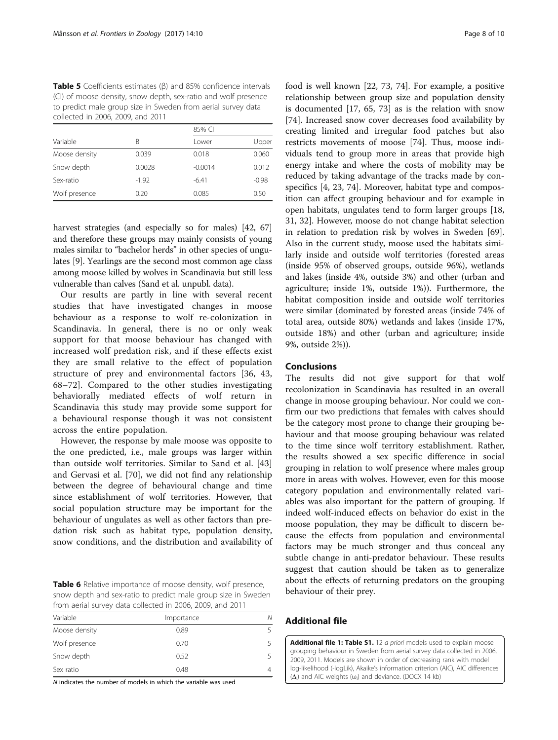<span id="page-7-0"></span>Table 5 Coefficients estimates (β) and 85% confidence intervals (CI) of moose density, snow depth, sex-ratio and wolf presence to predict male group size in Sweden from aerial survey data collected in 2006, 2009, and 2011

|               |         | 85% CI    |         |
|---------------|---------|-----------|---------|
| Variable      | B       | l ower    | Upper   |
| Moose density | 0.039   | 0.018     | 0.060   |
| Snow depth    | 0.0028  | $-0.0014$ | 0.012   |
| Sex-ratio     | $-1.92$ | $-6.41$   | $-0.98$ |
| Wolf presence | 0.20    | 0.085     | 0.50    |

harvest strategies (and especially so for males) [\[42,](#page-8-0) [67](#page-9-0)] and therefore these groups may mainly consists of young males similar to "bachelor herds" in other species of ungulates [[9](#page-8-0)]. Yearlings are the second most common age class among moose killed by wolves in Scandinavia but still less vulnerable than calves (Sand et al. unpubl. data).

Our results are partly in line with several recent studies that have investigated changes in moose behaviour as a response to wolf re-colonization in Scandinavia. In general, there is no or only weak support for that moose behaviour has changed with increased wolf predation risk, and if these effects exist they are small relative to the effect of population structure of prey and environmental factors [[36, 43](#page-8-0), [68](#page-9-0)–[72\]](#page-9-0). Compared to the other studies investigating behaviorally mediated effects of wolf return in Scandinavia this study may provide some support for a behavioural response though it was not consistent across the entire population.

However, the response by male moose was opposite to the one predicted, i.e., male groups was larger within than outside wolf territories. Similar to Sand et al. [[43](#page-8-0)] and Gervasi et al. [\[70\]](#page-9-0), we did not find any relationship between the degree of behavioural change and time since establishment of wolf territories. However, that social population structure may be important for the behaviour of ungulates as well as other factors than predation risk such as habitat type, population density, snow conditions, and the distribution and availability of

Table 6 Relative importance of moose density, wolf presence, snow depth and sex-ratio to predict male group size in Sweden from aerial survey data collected in 2006, 2009, and 2011

| Variable      | Importance | Ν |
|---------------|------------|---|
| Moose density | 0.89       |   |
| Wolf presence | 0.70       |   |
| Snow depth    | 0.52       |   |
| Sex ratio     | 0.48       |   |

N indicates the number of models in which the variable was used

food is well known [[22](#page-8-0), [73, 74\]](#page-9-0). For example, a positive relationship between group size and population density is documented [[17,](#page-8-0) [65](#page-9-0), [73](#page-9-0)] as is the relation with snow [[74\]](#page-9-0). Increased snow cover decreases food availability by creating limited and irregular food patches but also restricts movements of moose [[74](#page-9-0)]. Thus, moose individuals tend to group more in areas that provide high energy intake and where the costs of mobility may be reduced by taking advantage of the tracks made by conspecifics [\[4, 23](#page-8-0), [74](#page-9-0)]. Moreover, habitat type and composition can affect grouping behaviour and for example in open habitats, ungulates tend to form larger groups [[18](#page-8-0), [31, 32\]](#page-8-0). However, moose do not change habitat selection in relation to predation risk by wolves in Sweden [\[69](#page-9-0)]. Also in the current study, moose used the habitats similarly inside and outside wolf territories (forested areas (inside 95% of observed groups, outside 96%), wetlands and lakes (inside 4%, outside 3%) and other (urban and agriculture; inside 1%, outside 1%)). Furthermore, the habitat composition inside and outside wolf territories were similar (dominated by forested areas (inside 74% of total area, outside 80%) wetlands and lakes (inside 17%, outside 18%) and other (urban and agriculture; inside 9%, outside 2%)).

## Conclusions

The results did not give support for that wolf recolonization in Scandinavia has resulted in an overall change in moose grouping behaviour. Nor could we confirm our two predictions that females with calves should be the category most prone to change their grouping behaviour and that moose grouping behaviour was related to the time since wolf territory establishment. Rather, the results showed a sex specific difference in social grouping in relation to wolf presence where males group more in areas with wolves. However, even for this moose category population and environmentally related variables was also important for the pattern of grouping. If indeed wolf-induced effects on behavior do exist in the moose population, they may be difficult to discern because the effects from population and environmental factors may be much stronger and thus conceal any subtle change in anti-predator behaviour. These results suggest that caution should be taken as to generalize about the effects of returning predators on the grouping behaviour of their prey.

## Additional file

[Additional file 1: Table S1.](dx.doi.org/10.1186/s12983-017-0195-z) 12 a priori models used to explain moose grouping behaviour in Sweden from aerial survey data collected in 2006, 2009, 2011. Models are shown in order of decreasing rank with model log-likelihood (-logLik), Akaike's information criterion (AIC), AIC differences (Δi ) and AIC weights (ω<sup>i</sup> ) and deviance. (DOCX 14 kb)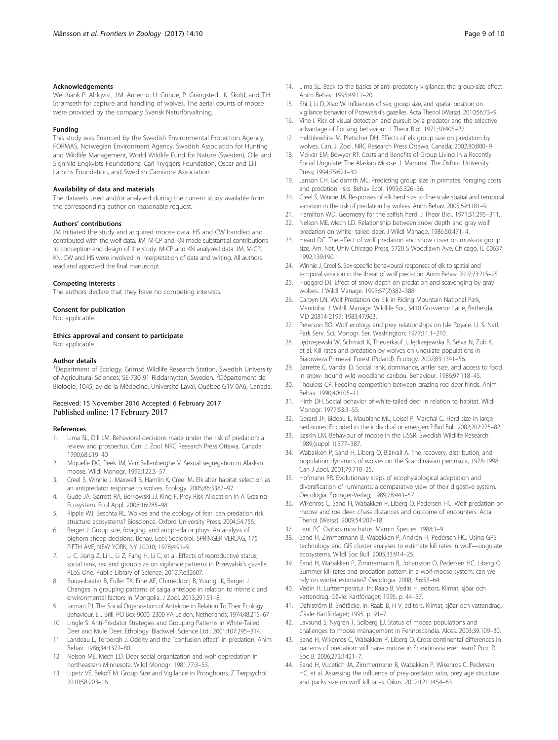#### <span id="page-8-0"></span>Acknowledgements

We thank P. Ahlqvist, J.M. Arnemo, U. Grinde, P. Grängstedt, K. Sköld, and T.H. Strømseth for capture and handling of wolves. The aerial counts of moose were provided by the company Svensk Naturförvaltning.

#### Funding

This study was financed by the Swedish Environmental Protection Agency, FORMAS, Norwegian Environment Agency, Swedish Association for Hunting and Wildlife Management, World Wildlife Fund for Nature (Sweden), Olle and Signhild Engkvists Foundations, Carl Tryggers Foundation, Oscar and Lili Lamms Foundation, and Swedish Carnivore Association.

#### Availability of data and materials

The datasets used and/or analysed during the current study available from the corresponding author on reasonable request.

#### Authors' contributions

JM initiated the study and acquired moose data. HS and CW handled and contributed with the wolf data. JM, M-CP and KN made substantial contributions to conception and design of the study. M-CP and KN analyzed data. JM, M-CP, KN, CW and HS were involved in interpretation of data and writing. All authors read and approved the final manuscript.

#### Competing interests

The authors declare that they have no competing interests.

#### Consent for publication

Not applicable.

#### Ethics approval and consent to participate

Not applicable.

#### Author details

<sup>1</sup>Department of Ecology, Grimsö Wildlife Research Station, Swedish University of Agricultural Sciences, SE-730 91 Riddarhyttan, Sweden. <sup>2</sup>Département de Biologie, 1045, av de la Médecine, Université Laval, Québec G1V 0A6, Canada.

## Received: 15 November 2016 Accepted: 6 February 2017 Published online: 17 February 2017

#### References

- 1. Lima SL, Dill LM. Behavioral decisions made under the risk of predation: a review and prospectus. Can. J. Zool. NRC Research Press Ottawa, Canada; 1990;68:619–40
- 2. Miquelle DG, Peek JM, Van Ballenberghe V. Sexual segregation in Alaskan moose. Wildl Monogr. 1992;122:3–57.
- 3. Creel S, Winnie J, Maxwell B, Hamlin K, Creel M. Elk alter habitat selection as an antipredator response to wolves. Ecology. 2005;86:3387–97.
- 4. Gude JA, Garrott RA, Borkowski JJ, King F. Prey Risk Allocation In A Grazing Ecosystem. Ecol Appl. 2008;16:285–98.
- 5. Ripple WJ, Beschta RL. Wolves and the ecology of fear: can predation risk structure ecosystems? Bioscience. Oxford University Press; 2004;54:755.
- Berger J. Group size, foraging, and antipredator ploys: An analysis of bighorn sheep decisions. Behav. Ecol. Sociobiol. SPRINGER VERLAG, 175 FIFTH AVE, NEW YORK, NY 10010; 1978;4:91–9.
- 7. Li C, Jiang Z, Li L, Li Z, Fang H, Li C, et al. Effects of reproductive status, social rank, sex and group size on vigilance patterns in Przewalski's gazelle. PLoS One. Public Library of Science; 2012;7:e32607.
- 8. Buuveibaatar B, Fuller TK, Fine AE, Chimeddorj B, Young JK, Berger J. Changes in grouping patterns of saiga antelope in relation to intrinsic and environmental factors in Mongolia. J Zool. 2013;291:51–8.
- Jarman PJ. The Social Organisation of Antelope in Relation To Their Ecology. Behaviour. E J Brill, PO Box 9000, 2300 PA Leiden, Netherlands; 1974;48:215–67
- 10. Lingle S. Anti-Predator Strategies and Grouping Patterns in White-Tailed Deer and Mule Deer. Ethology. Blackwell Science Ltd.; 2001;107:295–314.
- 11. Landeau L, Terborgh J. Oddity and the "confusion effect" in predation. Anim Behav. 1986;34:1372–80.
- 12. Nelson ME, Mech LD. Deer social organization and wolf depredation in northeastern Minnesota. Wildl Monogr. 1981;77:3–53.
- 13. Lipetz VE, Bekoff M. Group Size and Vigilance in Pronghorns. Z Tierpsychol. 2010;58:203–16.
- 14. Lima SL. Back to the basics of anti-predatory vigilance: the group-size effect. Anim Behav. 1995;49:11–20.
- 15. Shi J, Li D, Xiao W. Influences of sex, group size, and spatial position on vigilance behavior of Przewalski's gazelles. Acta Theriol (Warsz). 2010;56:73–9.
- 16. Vine I. Risk of visual detection and pursuit by a predator and the selective advantage of flocking behaviour. J Theor Biol. 1971;30:405–22.
- 17. Hebblewhite M, Pletscher DH. Effects of elk group size on predation by wolves. Can. J. Zool. NRC Research Press Ottawa, Canada; 2002;80:800–9
- 18. Molvar EM, Bowyer RT. Costs and Benefits of Group Living in a Recently Social Ungulate: The Alaskan Moose. J. Mammal. The Oxford University Press; 1994;75:621–30
- 19. Janson CH, Goldsmith ML. Predicting group size in primates: foraging costs and predation risks. Behav Ecol. 1995;6:326–36.
- 20. Creel S, Winnie JA. Responses of elk herd size to fine-scale spatial and temporal variation in the risk of predation by wolves. Anim Behav. 2005;69:1181–9.
- 21. Hamilton WD. Geometry for the selfish herd. J Theor Biol. 1971;31:295–311.
- 22. Nelson ME, Mech LD. Relationship between snow depth and gray wolf predation on white- tailed deer. J Wildl Manage. 1986;50:471–4.
- 23. Heard DC. The effect of wolf predation and snow cover on musk-ox group size. Am. Nat. Univ Chicago Press, 5720 S Woodlawn Ave, Chicago, IL 60637; 1992;139:190.
- 24. Winnie J, Creel S. Sex-specific behavioural responses of elk to spatial and temporal variation in the threat of wolf predation. Anim Behav. 2007;73:215–25.
- 25. Huggard DJ. Effect of snow depth on predation and scavenging by gray wolves. J Wildl Manage. 1993;57(2)382–388.
- 26. Carbyn LN. Wolf Predation on Elk in Riding Mountain National Park, Manitoba. J. Wildl. Manage. Wildlife Soc, 5410 Grosvenor Lane, Bethesda, MD 20814-2197; 1983;47:963.
- 27. Peterson RO. Wolf ecology and prey relationships on Isle Royale. U. S. Natl. Park Serv. Sci. Monogr. Ser. Washington; 1977;11:1–210.
- 28. Jędrzejewski W, Schmidt K, Theuerkauf J, Jędrzejewska B, Selva N, Zub K, et al. Kill rates and predation by wolves on ungulate populations in Bialowieza Primeval Forest (Poland). Ecology. 2002;83:1341–56.
- 29. Barrette C, Vandal D. Social rank, dominance, antler size, and access to food in snow- bound wild woodland caribou. Behaviour. 1986;97:118–45.
- 30. Thouless CR. Feeding competition between grazing red deer hinds. Anim Behav. 1990;40:105–11.
- 31. Hirth DH. Social behavior of white-tailed deer in relation to habitat. Wildl Monogr. 1977;53:3–55.
- 32. Gerard JF, Bideau E, Maublanc ML, Loisel P, Marchal C. Herd size in large herbivores: Encoded in the individual or emergent? Biol Bull. 2002;202:275–82.
- 33. Baskin LM. Behaviour of moose in the USSR. Swedish Wildlife Research. 1989;(suppl 1):377–387.
- 34. Wabakken P, Sand H, Liberg O, Bjärvall A. The recovery, distribution, and population dynamics of wolves on the Scandinavian peninsula, 1978-1998. Can J Zool. 2001;79:710–25.
- 35. Hofmann RR. Evolutionary steps of ecophysiological adaptation and diversification of ruminants: a comparative view of their digestive system. Oecologia. Springer-Verlag; 1989;78:443–57.
- 36. Wikenros C, Sand H, Wabakken P, Liberg O, Pedersen HC. Wolf predation on moose and roe deer: chase distances and outcome of encounters. Acta Theriol (Warsz). 2009;54:207–18.
- 37. Lent PC. Ovibos moschatus. Mamm Species. 1988;1–9.
- Sand H, Zimmermann B, Wabakken P, Andrén H, Pedersen HC. Using GPS technology and GIS cluster analyses to estimate kill rates in wolf—ungulate ecosystems. Wildl Soc Bull. 2005;33:914–25.
- 39. Sand H, Wabakken P, Zimmermann B, Johansson O, Pedersen HC, Liberg O. Summer kill rates and predation pattern in a wolf-moose system: can we rely on winter estimates? Oecologia. 2008;156:53–64.
- 40. Vedin H. Lufttemperatur. In: Raab B, Vedin H, editors. Klimat, sjöar och vattendrag. Gävle: Kartförlaget; 1995. p. 44–57.
- 41. Dahlström B. Snötäcke. In: Raab B, H V, editors. Klimat, sjöar och vattendrag. Gävle: Kartförlaget; 1995. p. 91–7
- 42. Lavsund S, Nygrén T, Solberg EJ. Status of moose populations and challenges to moose management in Fennoscandia. Alces. 2003;39:109–30.
- 43. Sand H, Wikenros C, Wabakken P, Liberg O. Cross-continental differences in patterns of predation: will naive moose in Scandinavia ever learn? Proc R Soc B. 2006;273:1421–7.
- 44. Sand H, Vucetich JA, Zimmermann B, Wabakken P, Wikenros C, Pedersen HC, et al. Assessing the influence of prey-predator ratio, prey age structure and packs size on wolf kill rates. Oikos. 2012;121:1454–63.